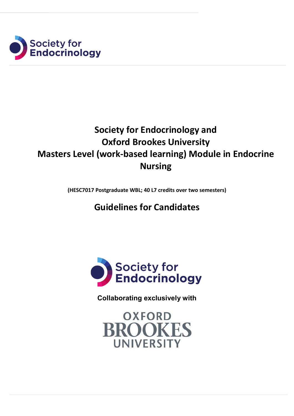

# **Society for Endocrinology and Oxford Brookes University Masters Level (work-based learning) Module in Endocrine Nursing**

**(HESC7017 Postgraduate WBL; 40 L7 credits over two semesters)**

# **Guidelines for Candidates**



**Collaborating exclusively with**

**OXFORD BROOKES UNIVERSITY**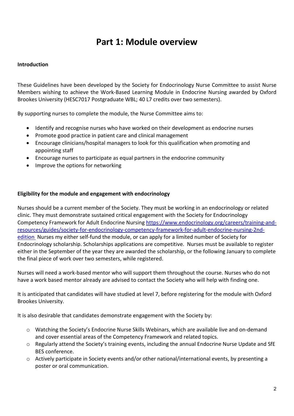# **Part 1: Module overview**

# **Introduction**

These Guidelines have been developed by the Society for Endocrinology Nurse Committee to assist Nurse Members wishing to achieve the Work-Based Learning Module in Endocrine Nursing awarded by Oxford Brookes University (HESC7017 Postgraduate WBL; 40 L7 credits over two semesters).

By supporting nurses to complete the module, the Nurse Committee aims to:

- Identify and recognise nurses who have worked on their development as endocrine nurses
- Promote good practice in patient care and clinical management
- Encourage clinicians/hospital managers to look for this qualification when promoting and appointing staff
- Encourage nurses to participate as equal partners in the endocrine community
- Improve the options for networking

# **Eligibility for the module and engagement with endocrinology**

Nurses should be a current member of the Society. They must be working in an endocrinology or related clinic. They must demonstrate sustained critical engagement with the Society for Endocrinology Competency Framework for Adult Endocrine Nursing [https://www.endocrinology.org/careers/training-and](https://www.endocrinology.org/careers/training-and-resources/guides/society-for-endocrinology-competency-framework-for-adult-endocrine-nursing-2nd-edition)[resources/guides/society-for-endocrinology-competency-framework-for-adult-endocrine-nursing-2nd](https://www.endocrinology.org/careers/training-and-resources/guides/society-for-endocrinology-competency-framework-for-adult-endocrine-nursing-2nd-edition)[edition](https://www.endocrinology.org/careers/training-and-resources/guides/society-for-endocrinology-competency-framework-for-adult-endocrine-nursing-2nd-edition) Nurses my either self-fund the module, or can apply for a limited number of Society for Endocrinology scholarship. Scholarships applications are competitive. Nurses must be available to register either in the September of the year they are awarded the scholarship, or the following January to complete the final piece of work over two semesters, while registered.

Nurses will need a work-based mentor who will support them throughout the course. Nurses who do not have a work based mentor already are advised to contact the Society who will help with finding one.

It is anticipated that candidates will have studied at level 7, before registering for the module with Oxford Brookes University.

It is also desirable that candidates demonstrate engagement with the Society by:

- o Watching the Society's Endocrine Nurse Skills Webinars, which are available live and on-demand and cover essential areas of the Competency Framework and related topics.
- o Regularly attend the Society's training events, including the annual Endocrine Nurse Update and SfE BES conference.
- $\circ$  Actively participate in Society events and/or other national/international events, by presenting a poster or oral communication.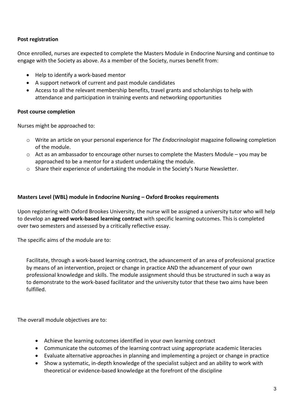# **Post registration**

Once enrolled, nurses are expected to complete the Masters Module in Endocrine Nursing and continue to engage with the Society as above. As a member of the Society, nurses benefit from:

- Help to identify a work-based mentor
- A support network of current and past module candidates
- Access to all the relevant membership benefits, travel grants and scholarships to help with attendance and participation in training events and networking opportunities

# **Post course completion**

Nurses might be approached to:

- o Write an article on your personal experience for *The Endocrinologist* magazine following completion of the module.
- $\circ$  Act as an ambassador to encourage other nurses to complete the Masters Module you may be approached to be a mentor for a student undertaking the module.
- o Share their experience of undertaking the module in the Society's Nurse Newsletter.

### **Masters Level (WBL) module in Endocrine Nursing – Oxford Brookes requirements**

Upon registering with Oxford Brookes University, the nurse will be assigned a university tutor who will help to develop an **agreed work-based learning contract** with specific learning outcomes. This is completed over two semesters and assessed by a critically reflective essay.

The specific aims of the module are to:

Facilitate, through a work-based learning contract, the advancement of an area of professional practice by means of an intervention, project or change in practice AND the advancement of your own professional knowledge and skills. The module assignment should thus be structured in such a way as to demonstrate to the work-based facilitator and the university tutor that these two aims have been fulfilled.

The overall module objectives are to:

- Achieve the learning outcomes identified in your own learning contract
- Communicate the outcomes of the learning contract using appropriate academic literacies
- Evaluate alternative approaches in planning and implementing a project or change in practice
- Show a systematic, in-depth knowledge of the specialist subject and an ability to work with theoretical or evidence-based knowledge at the forefront of the discipline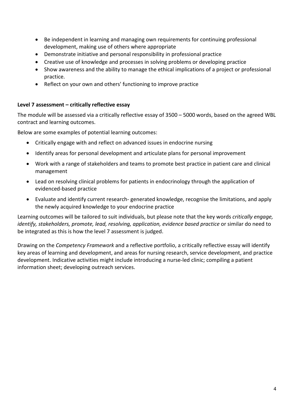- Be independent in learning and managing own requirements for continuing professional development, making use of others where appropriate
- Demonstrate initiative and personal responsibility in professional practice
- Creative use of knowledge and processes in solving problems or developing practice
- Show awareness and the ability to manage the ethical implications of a project or professional practice.
- Reflect on your own and others' functioning to improve practice

### **Level 7 assessment – critically reflective essay**

The module will be assessed via a critically reflective essay of 3500 – 5000 words, based on the agreed WBL contract and learning outcomes.

Below are some examples of potential learning outcomes:

- Critically engage with and reflect on advanced issues in endocrine nursing
- Identify areas for personal development and articulate plans for personal improvement
- Work with a range of stakeholders and teams to promote best practice in patient care and clinical management
- Lead on resolving clinical problems for patients in endocrinology through the application of evidenced-based practice
- Evaluate and identify current research- generated knowledge, recognise the limitations, and apply the newly acquired knowledge to your endocrine practice

Learning outcomes will be tailored to suit individuals, but please note that the key words *critically engage, identify, stakeholders, promote, lead, resolving, application, evidence based practice* or similar do need to be integrated as this is how the level 7 assessment is judged.

Drawing on the *Competency Framework* and a reflective portfolio, a critically reflective essay will identify key areas of learning and development, and areas for nursing research, service development, and practice development. Indicative activities might include introducing a nurse-led clinic; compiling a patient information sheet; developing outreach services.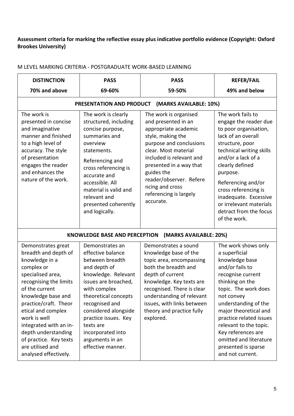# **Assessment criteria for marking the reflective essay plus indicative portfolio evidence (Copyright: Oxford Brookes University)**

| <b>DISTINCTION</b>                                                                                                                                                                                                                                                                                                                                       | <b>PASS</b>                                                                                                                                                                                                                                                                                                | <b>PASS</b>                                                                                                                                                                                                                                                                                            | <b>REFER/FAIL</b>                                                                                                                                                                                                                                                                                                                                        |  |  |
|----------------------------------------------------------------------------------------------------------------------------------------------------------------------------------------------------------------------------------------------------------------------------------------------------------------------------------------------------------|------------------------------------------------------------------------------------------------------------------------------------------------------------------------------------------------------------------------------------------------------------------------------------------------------------|--------------------------------------------------------------------------------------------------------------------------------------------------------------------------------------------------------------------------------------------------------------------------------------------------------|----------------------------------------------------------------------------------------------------------------------------------------------------------------------------------------------------------------------------------------------------------------------------------------------------------------------------------------------------------|--|--|
| 70% and above                                                                                                                                                                                                                                                                                                                                            | 69-60%                                                                                                                                                                                                                                                                                                     | 59-50%                                                                                                                                                                                                                                                                                                 | 49% and below                                                                                                                                                                                                                                                                                                                                            |  |  |
| PRESENTATION AND PRODUCT<br>(MARKS AVAILABLE: 10%)                                                                                                                                                                                                                                                                                                       |                                                                                                                                                                                                                                                                                                            |                                                                                                                                                                                                                                                                                                        |                                                                                                                                                                                                                                                                                                                                                          |  |  |
| The work is<br>presented in concise<br>and imaginative<br>manner and finished<br>to a high level of<br>accuracy. The style<br>of presentation<br>engages the reader<br>and enhances the<br>nature of the work.                                                                                                                                           | The work is clearly<br>structured, including<br>concise purpose,<br>summaries and<br>overview<br>statements.<br>Referencing and<br>cross referencing is<br>accurate and<br>accessible. All<br>material is valid and<br>relevant and<br>presented coherently<br>and logically.                              | The work is organised<br>and presented in an<br>appropriate academic<br>style, making the<br>purpose and conclusions<br>clear. Most material<br>included is relevant and<br>presented in a way that<br>guides the<br>reader/observer. Refere<br>ncing and cross<br>referencing is largely<br>accurate. | The work fails to<br>engage the reader due<br>to poor organisation,<br>lack of an overall<br>structure, poor<br>technical writing skills<br>and/or a lack of a<br>clearly defined<br>purpose.<br>Referencing and/or<br>cross referencing is<br>inadequate. Excessive<br>or irrelevant materials<br>detract from the focus<br>of the work.                |  |  |
| (MARKS AVAILABLE: 20%)<br><b>KNOWLEDGE BASE AND PERCEPTION</b>                                                                                                                                                                                                                                                                                           |                                                                                                                                                                                                                                                                                                            |                                                                                                                                                                                                                                                                                                        |                                                                                                                                                                                                                                                                                                                                                          |  |  |
| Demonstrates great<br>breadth and depth of<br>knowledge in a<br>complex or<br>specialised area,<br>recognising the limits<br>of the current<br>knowledge base and<br>practice/craft. Theor<br>etical and complex<br>work is well<br>integrated with an in-<br>depth understanding<br>of practice. Key texts<br>are utilised and<br>analysed effectively. | Demonstrates an<br>effective balance<br>between breadth<br>and depth of<br>knowledge. Relevant<br>issues are broached,<br>with complex<br>theoretical concepts<br>recognised and<br>considered alongside<br>practice issues. Key<br>texts are<br>incorporated into<br>arguments in an<br>effective manner. | Demonstrates a sound<br>knowledge base of the<br>topic area, encompassing<br>both the breadth and<br>depth of current<br>knowledge. Key texts are<br>recognised. There is clear<br>understanding of relevant<br>issues, with links between<br>theory and practice fully<br>explored.                   | The work shows only<br>a superficial<br>knowledge base<br>and/or fails to<br>recognise current<br>thinking on the<br>topic. The work does<br>not convey<br>understanding of the<br>major theoretical and<br>practice related issues<br>relevant to the topic.<br>Key references are<br>omitted and literature<br>presented is sparse<br>and not current. |  |  |

# M LEVEL MARKING CRITERIA - POSTGRADUATE WORK-BASED LEARNING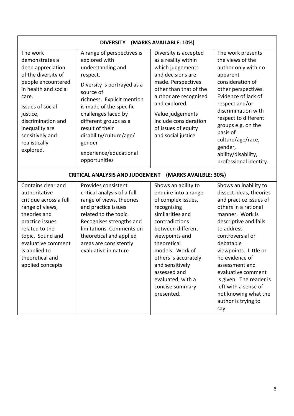| (MARKS AVAILABLE: 10%)<br><b>DIVERSITY</b>                                                                                                                                                                                                             |                                                                                                                                                                                                                                                                                                                                      |                                                                                                                                                                                                                                                                                                                  |                                                                                                                                                                                                                                                                                                                                                                                            |  |
|--------------------------------------------------------------------------------------------------------------------------------------------------------------------------------------------------------------------------------------------------------|--------------------------------------------------------------------------------------------------------------------------------------------------------------------------------------------------------------------------------------------------------------------------------------------------------------------------------------|------------------------------------------------------------------------------------------------------------------------------------------------------------------------------------------------------------------------------------------------------------------------------------------------------------------|--------------------------------------------------------------------------------------------------------------------------------------------------------------------------------------------------------------------------------------------------------------------------------------------------------------------------------------------------------------------------------------------|--|
| The work<br>demonstrates a<br>deep appreciation<br>of the diversity of<br>people encountered<br>in health and social<br>care.<br>Issues of social<br>justice,<br>discrimination and<br>inequality are<br>sensitively and<br>realistically<br>explored. | A range of perspectives is<br>explored with<br>understanding and<br>respect.<br>Diversity is portrayed as a<br>source of<br>richness. Explicit mention<br>is made of the specific<br>challenges faced by<br>different groups as a<br>result of their<br>disability/culture/age/<br>gender<br>experience/educational<br>opportunities | Diversity is accepted<br>as a reality within<br>which judgements<br>and decisions are<br>made. Perspectives<br>other than that of the<br>author are recognised<br>and explored.<br>Value judgements<br>include consideration<br>of issues of equity<br>and social justice                                        | The work presents<br>the views of the<br>author only with no<br>apparent<br>consideration of<br>other perspectives.<br>Evidence of lack of<br>respect and/or<br>discrimination with<br>respect to different<br>groups e.g. on the<br>basis of<br>culture/age/race,<br>gender,<br>ability/disability,<br>professional identity.                                                             |  |
| <b>CRITICAL ANALYSIS AND JUDGEMENT</b><br>(MARKS AVAILBLE: 30%)                                                                                                                                                                                        |                                                                                                                                                                                                                                                                                                                                      |                                                                                                                                                                                                                                                                                                                  |                                                                                                                                                                                                                                                                                                                                                                                            |  |
| Contains clear and<br>authoritative<br>critique across a full<br>range of views,<br>theories and<br>practice issues<br>related to the<br>topic. Sound and<br>evaluative comment<br>is applied to<br>theoretical and<br>applied concepts                | Provides consistent<br>critical analysis of a full<br>range of views, theories<br>and practice issues<br>related to the topic.<br>Recognises strengths and<br>limitations. Comments on<br>theoretical and applied<br>areas are consistently<br>evaluative in nature                                                                  | Shows an ability to<br>enquire into a range<br>of complex issues,<br>recognising<br>similarities and<br>contradictions<br>between different<br>viewpoints and<br>theoretical<br>models. Work of<br>others is accurately<br>and sensitively<br>assessed and<br>evaluated, with a<br>concise summary<br>presented. | Shows an inability to<br>dissect ideas, theories<br>and practice issues of<br>others in a rational<br>manner. Work is<br>descriptive and fails<br>to address<br>controversial or<br>debatable<br>viewpoints. Little or<br>no evidence of<br>assessment and<br>evaluative comment<br>is given. The reader is<br>left with a sense of<br>not knowing what the<br>author is trying to<br>say. |  |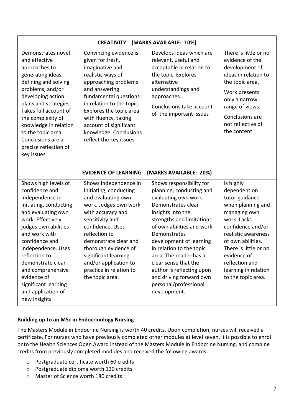| <b>CREATIVITY</b><br>(MARKS AVAILABLE: 10%)                                                                                                                                                                                                                                                                                                             |                                                                                                                                                                                                                                                                                                                             |                                                                                                                                                                                                                                                                                                                                                                                                              |                                                                                                                                                                                                                                                                          |  |
|---------------------------------------------------------------------------------------------------------------------------------------------------------------------------------------------------------------------------------------------------------------------------------------------------------------------------------------------------------|-----------------------------------------------------------------------------------------------------------------------------------------------------------------------------------------------------------------------------------------------------------------------------------------------------------------------------|--------------------------------------------------------------------------------------------------------------------------------------------------------------------------------------------------------------------------------------------------------------------------------------------------------------------------------------------------------------------------------------------------------------|--------------------------------------------------------------------------------------------------------------------------------------------------------------------------------------------------------------------------------------------------------------------------|--|
| Demonstrates novel<br>and effective<br>approaches to<br>generating ideas,<br>defining and solving<br>problems, and/or<br>developing action<br>plans and strategies.<br>Takes full account of<br>the complexity of<br>knowledge in relation<br>to the topic area.<br>Conclusions are a<br>precise reflection of<br>key issues                            | Convincing evidence is<br>given for fresh,<br>imaginative and<br>realistic ways of<br>approaching problems<br>and answering<br>fundamental questions<br>in relation to the topic.<br>Explores the topic area<br>with fluency, taking<br>account of significant<br>knowledge. Conclusions<br>reflect the key issues          | Develops ideas which are<br>relevant, useful and<br>acceptable in relation to<br>the topic. Explores<br>alternative<br>understandings and<br>approaches.<br>Conclusions take account<br>of the important issues                                                                                                                                                                                              | There is little or no<br>evidence of the<br>development of<br>ideas in relation to<br>the topic area.<br>Work presents<br>only a narrow<br>range of views.<br>Conclusions are<br>not reflective of<br>the content                                                        |  |
| <b>EVIDENCE OF LEARNING</b><br>(MARKS AVAILABLE: 20%)                                                                                                                                                                                                                                                                                                   |                                                                                                                                                                                                                                                                                                                             |                                                                                                                                                                                                                                                                                                                                                                                                              |                                                                                                                                                                                                                                                                          |  |
| Shows high levels of<br>confidence and<br>independence in<br>initiating, conducting<br>and evaluating own<br>work. Effectively<br>judges own abilities<br>and work with<br>confidence and<br>independence. Uses<br>reflection to<br>demonstrate clear<br>and comprehensive<br>evidence of<br>significant learning<br>and application of<br>new insights | Shows independence in<br>initiating, conducting<br>and evaluating own<br>work. Judges own work<br>with accuracy and<br>sensitivity and<br>confidence. Uses<br>reflection to<br>demonstrate clear and<br>thorough evidence of<br>significant learning<br>and/or application to<br>practice in relation to<br>the topic area. | Shows responsibility for<br>planning, conducting and<br>evaluating own work.<br>Demonstrates clear<br>insights into the<br>strengths and limitations<br>of own abilities and work.<br>Demonstrates<br>development of learning<br>in relation to the topic<br>area. The reader has a<br>clear sense that the<br>author is reflecting upon<br>and driving forward own<br>personal/professional<br>development. | Is highly<br>dependent on<br>tutor guidance<br>when planning and<br>managing own<br>work. Lacks<br>confidence and/or<br>realistic awareness<br>of own abilities.<br>There is little or no<br>evidence of<br>reflection and<br>learning in relation<br>to the topic area. |  |

# **Building up to an MSc in Endocrinology Nursing**

The Masters Module in Endocrine Nursing is worth 40 credits. Upon completion, nurses will received a certificate. For nurses who have previously completed other modules at level seven, it is possible to enrol onto the Health Sciences Open Award instead of the Masters Module in Endocrine Nursing, and combine credits from previously completed modules and received the following awards**:** 

- o Postgraduate certificate worth 60 credits
- o Postgraduate diploma worth 120 credits
- o Master of Science worth 180 credits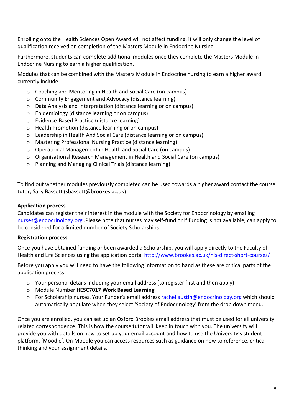Enrolling onto the Health Sciences Open Award will not affect funding, it will only change the level of qualification received on completion of the Masters Module in Endocrine Nursing.

Furthermore, students can complete additional modules once they complete the Masters Module in Endocrine Nursing to earn a higher qualification.

Modules that can be combined with the Masters Module in Endocrine nursing to earn a higher award currently include:

- o Coaching and Mentoring in Health and Social Care (on campus)
- o Community Engagement and Advocacy (distance learning)
- o Data Analysis and Interpretation (distance learning or on campus)
- o Epidemiology (distance learning or on campus)
- o Evidence-Based Practice (distance learning)
- o Health Promotion (distance learning or on campus)
- o Leadership in Health And Social Care (distance learning or on campus)
- o Mastering Professional Nursing Practice (distance learning)
- o Operational Management in Health and Social Care (on campus)
- o Organisational Research Management in Health and Social Care (on campus)
- o Planning and Managing Clinical Trials (distance learning)

To find out whether modules previously completed can be used towards a higher award contact the course tutor, Sally Bassett (sbassett@brookes.ac.uk)

### **Application process**

Candidates can register their interest in the module with the Society for Endocrinology by emailing [nurses@endocrinology.org](mailto:nurses@endocrinology.org) .Please note that nurses may self-fund or if funding is not available, can apply to be considered for a limited number of Society Scholarships

### **Registration process**

Once you have obtained funding or been awarded a Scholarship, you will apply directly to the Faculty of Health and Life Sciences using the application portal http://www.brookes.ac.uk/hls-direct-short-courses/

Before you apply you will need to have the following information to hand as these are critical parts of the application process:

- $\circ$  Your personal details including your email address (to register first and then apply)
- o Module Number **HESC7017 Work Based Learning**
- o For Scholarship nurses, Your Funder's email address [rachel.austin@endocrinology.org](mailto:rachel.austin@endocrinology.org) which should automatically populate when they select 'Society of Endocrinology' from the drop down menu.

Once you are enrolled, you can set up an Oxford Brookes email address that must be used for all university related correspondence. This is how the course tutor will keep in touch with you. The university will provide you with details on how to set up your email account and how to use the University's student platform, 'Moodle'. On Moodle you can access resources such as guidance on how to reference, critical thinking and your assignment details.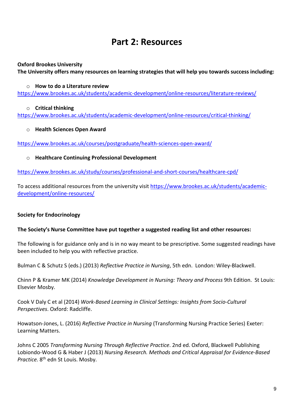# **Part 2: Resources**

### **Oxford Brookes University**

**The University offers many resources on learning strategies that will help you towards success including:**

### o **How to do a Literature review**

<https://www.brookes.ac.uk/students/academic-development/online-resources/literature-reviews/>

### o **Critical thinking**

<https://www.brookes.ac.uk/students/academic-development/online-resources/critical-thinking/>

### o **Health Sciences Open Award**

<https://www.brookes.ac.uk/courses/postgraduate/health-sciences-open-award/>

# o **Healthcare Continuing Professional Development**

<https://www.brookes.ac.uk/study/courses/professional-and-short-courses/healthcare-cpd/>

To access additional resources from the university visit [https://www.brookes.ac.uk/students/academic](https://www.brookes.ac.uk/students/academic-development/online-resources/)[development/online-resources/](https://www.brookes.ac.uk/students/academic-development/online-resources/) 

# **Society for Endocrinology**

### **The Society's Nurse Committee have put together a suggested reading list and other resources:**

The following is for guidance only and is in no way meant to be prescriptive. Some suggested readings have been included to help you with reflective practice.

Bulman C & Schutz S (eds.) (2013) *Reflective Practice in Nursing*, 5th edn. London: Wiley-Blackwell.

Chinn P & Kramer MK (2014) *Knowledge Development in Nursing: Theory and Process* 9th Edition. St Louis: Elsevier Mosby.

Cook V Daly C et al (2014) *Work-Based Learning in Clinical Settings: Insights from Socio-Cultural Perspectives*. Oxford: Radcliffe.

Howatson-Jones, L. (2016) *Reflective Practice in Nursing* (Transforming Nursing Practice Series) Exeter: Learning Matters.

Johns C 2005 *Transforming Nursing Through Reflective Practice*. 2nd ed. Oxford, Blackwell Publishing Lobiondo-Wood G & Haber J (2013) *Nursing Research. Methods and Critical Appraisal for Evidence-Based*  Practice. 8<sup>th</sup> edn St Louis. Mosby.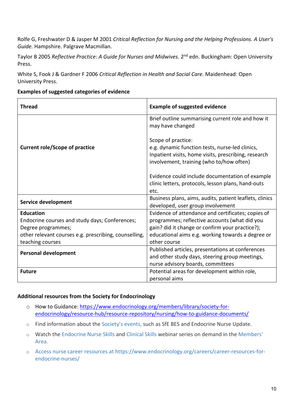Rolfe G, Freshwater D & Jasper M 2001 *Critical Reflection for Nursing and the Helping Professions. A User's Guide.* Hampshire. Palgrave Macmillan.

Taylor B 2005 *Reflective Practice: A Guide for Nurses and Midwives*. 2nd edn. Buckingham: Open University Press.

White S, Fook J & Gardner F 2006 *Critical Reflection in Health and Social Care.* Maidenhead: Open University Press.

**Examples of suggested categories of evidence**

| <b>Thread</b>                                         | <b>Example of suggested evidence</b>                                                                                                                                      |  |
|-------------------------------------------------------|---------------------------------------------------------------------------------------------------------------------------------------------------------------------------|--|
|                                                       | Brief outline summarising current role and how it<br>may have changed                                                                                                     |  |
| <b>Current role/Scope of practice</b>                 | Scope of practice:<br>e.g. dynamic function tests, nurse-led clinics,<br>Inpatient visits, home visits, prescribing, research<br>involvement, training (who to/how often) |  |
|                                                       | Evidence could include documentation of example<br>clinic letters, protocols, lesson plans, hand-outs<br>etc.                                                             |  |
| Service development                                   | Business plans, aims, audits, patient leaflets, clinics<br>developed, user group involvement                                                                              |  |
| <b>Education</b>                                      | Evidence of attendance and certificates; copies of                                                                                                                        |  |
| Endocrine courses and study days; Conferences;        | programmes; reflective accounts (what did you                                                                                                                             |  |
| Degree programmes;                                    | gain? did it change or confirm your practice?);                                                                                                                           |  |
| other relevant courses e.g. prescribing, counselling, | educational aims e.g. working towards a degree or                                                                                                                         |  |
| teaching courses                                      | other course                                                                                                                                                              |  |
| <b>Personal development</b>                           | Published articles, presentations at conferences                                                                                                                          |  |
|                                                       | and other study days, steering group meetings,                                                                                                                            |  |
|                                                       | nurse advisory boards, committees                                                                                                                                         |  |
| <b>Future</b>                                         | Potential areas for development within role,                                                                                                                              |  |
|                                                       | personal aims                                                                                                                                                             |  |

# **Additional resources from the Society for Endocrinology**

- o How to Guidance: [https://www.endocrinology.org/members/library/society-for](https://www.endocrinology.org/members/library/society-for-endocrinology/resource-hub/resource-repository/nursing/how-to-guidance-documents/)[endocrinology/resource-hub/resource-repository/nursing/how-to-guidance-documents/](https://www.endocrinology.org/members/library/society-for-endocrinology/resource-hub/resource-repository/nursing/how-to-guidance-documents/)
- o Find information about the [Society's events,](https://www.endocrinology.org/events/) such as SfE BES and Endocrine Nurse Update.
- o Watch the [Endocrine Nurse Skills](https://www.endocrinology.org/events/endocrine-nurse-skills-webinars/) and [Clinical Skills](https://www.endocrinology.org/events/clinical-skills-webinars/) webinar series on demand in the [Members'](https://www.endocrinology.org/members/)  [Area.](https://www.endocrinology.org/members/)
- o Access nurse career resources at https://www.endocrinology.org/careers/career-resources-forendocrine-nurses/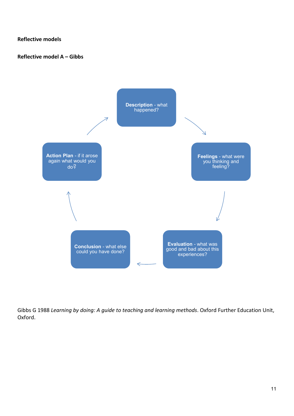**Reflective models**

**Reflective model A – Gibbs**



Gibbs G 1988 *Learning by doing: A guide to teaching and learning methods*. Oxford Further Education Unit, Oxford.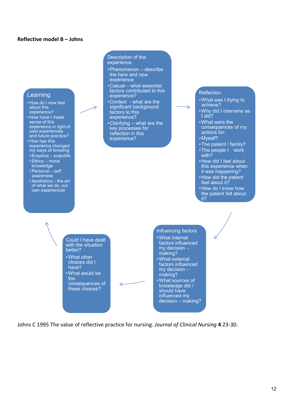#### **Reflective model B – Johns**



Johns C 1995 The value of reflective practice for nursing. *Journal of Clinical Nursing* **4** 23-30.